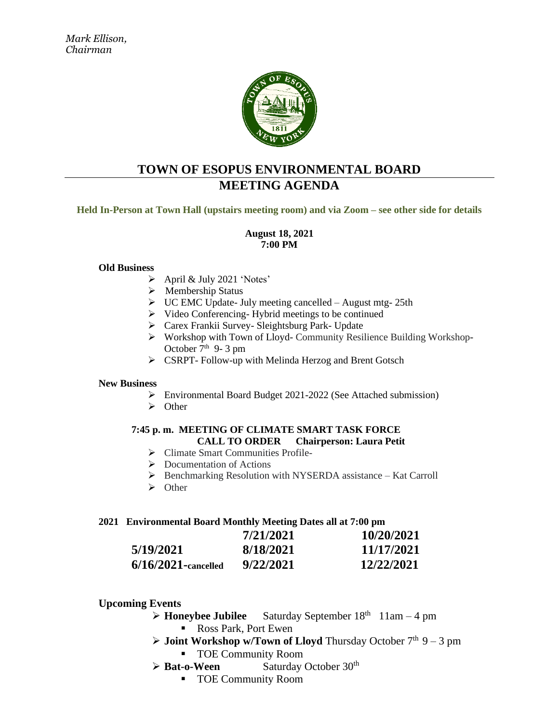

### **TOWN OF ESOPUS ENVIRONMENTAL BOARD MEETING AGENDA**

**Held In-Person at Town Hall (upstairs meeting room) and via Zoom – see other side for details**

#### **August 18, 2021 7:00 PM**

#### **Old Business**

- ➢ April & July 2021 'Notes'
- ➢ Membership Status
- $\triangleright$  UC EMC Update- July meeting cancelled August mtg- 25th
- $\triangleright$  Video Conferencing-Hybrid meetings to be continued
- ➢ Carex Frankii Survey- Sleightsburg Park- Update
- ➢ Workshop with Town of Lloyd- Community Resilience Building Workshop-October  $7<sup>th</sup>$  9- 3 pm
- ➢ CSRPT- Follow-up with Melinda Herzog and Brent Gotsch

#### **New Business**

- ➢ Environmental Board Budget 2021-2022 (See Attached submission)
- ➢ Other

#### **7:45 p. m. MEETING OF CLIMATE SMART TASK FORCE CALL TO ORDER Chairperson: Laura Petit**

- ➢ Climate Smart Communities Profile-
- ➢ Documentation of Actions
- ➢ Benchmarking Resolution with NYSERDA assistance Kat Carroll
- ➢ Other

#### **2021 Environmental Board Monthly Meeting Dates all at 7:00 pm**

|                        | 7/21/2021 | 10/20/2021 |
|------------------------|-----------|------------|
| 5/19/2021              | 8/18/2021 | 11/17/2021 |
| $6/16/2021$ -cancelled | 9/22/2021 | 12/22/2021 |

#### **Upcoming Events**

- ➢ **Honeybee Jubilee** Saturday September 18th 11am 4 pm ■ Ross Park, Port Ewen
- $\triangleright$  **Joint Workshop w/Town of Lloyd** Thursday October 7<sup>th</sup> 9 3 pm
	- TOE Community Room
- ➢ **Bat-o-Ween** Saturday October 30th
	- TOE Community Room